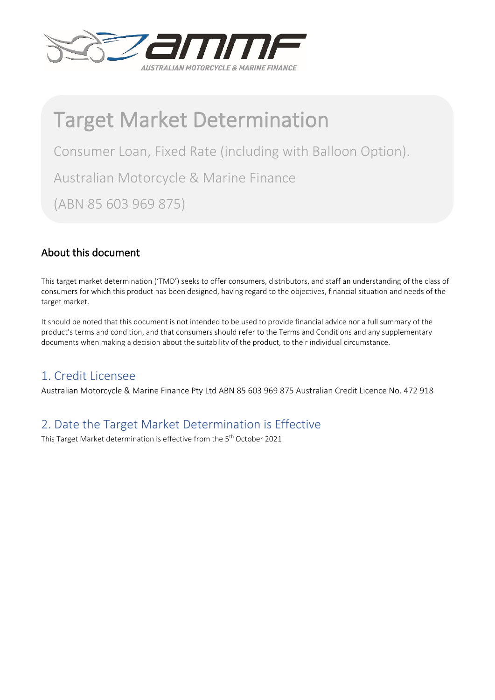

# Target Market Determination

Consumer Loan, Fixed Rate (including with Balloon Option).

Australian Motorcycle & Marine Finance

(ABN 85 603 969 875)

### About this document

This target market determination ('TMD') seeks to offer consumers, distributors, and staff an understanding of the class of consumers for which this product has been designed, having regard to the objectives, financial situation and needs of the target market.

It should be noted that this document is not intended to be used to provide financial advice nor a full summary of the product's terms and condition, and that consumers should refer to the Terms and Conditions and any supplementary documents when making a decision about the suitability of the product, to their individual circumstance.

# 1. Credit Licensee

Australian Motorcycle & Marine Finance Pty Ltd ABN 85 603 969 875 Australian Credit Licence No. 472 918

# 2. Date the Target Market Determination is Effective

This Target Market determination is effective from the 5<sup>th</sup> October 2021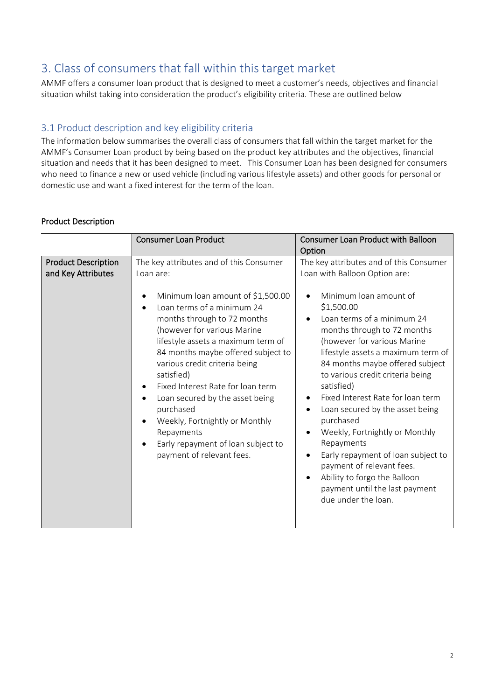# 3. Class of consumers that fall within this target market

AMMF offers a consumer loan product that is designed to meet a customer's needs, objectives and financial situation whilst taking into consideration the product's eligibility criteria. These are outlined below

### 3.1 Product description and key eligibility criteria

The information below summarises the overall class of consumers that fall within the target market for the AMMF's Consumer Loan product by being based on the product key attributes and the objectives, financial situation and needs that it has been designed to meet. This Consumer Loan has been designed for consumers who need to finance a new or used vehicle (including various lifestyle assets) and other goods for personal or domestic use and want a fixed interest for the term of the loan.

#### Product Description

|                                                  | <b>Consumer Loan Product</b>                                                                                                                                                                                                                                                                                                                                                                                                                                                                                                                                    | <b>Consumer Loan Product with Balloon</b><br>Option                                                                                                                                                                                                                                                                                                                                                                                                                                                                                                                                                                                                                                                       |
|--------------------------------------------------|-----------------------------------------------------------------------------------------------------------------------------------------------------------------------------------------------------------------------------------------------------------------------------------------------------------------------------------------------------------------------------------------------------------------------------------------------------------------------------------------------------------------------------------------------------------------|-----------------------------------------------------------------------------------------------------------------------------------------------------------------------------------------------------------------------------------------------------------------------------------------------------------------------------------------------------------------------------------------------------------------------------------------------------------------------------------------------------------------------------------------------------------------------------------------------------------------------------------------------------------------------------------------------------------|
| <b>Product Description</b><br>and Key Attributes | The key attributes and of this Consumer<br>Loan are:<br>Minimum loan amount of \$1,500.00<br>Loan terms of a minimum 24<br>months through to 72 months<br>(however for various Marine<br>lifestyle assets a maximum term of<br>84 months maybe offered subject to<br>various credit criteria being<br>satisfied)<br>Fixed Interest Rate for loan term<br>Loan secured by the asset being<br>$\bullet$<br>purchased<br>Weekly, Fortnightly or Monthly<br>$\bullet$<br>Repayments<br>Early repayment of loan subject to<br>$\bullet$<br>payment of relevant fees. | The key attributes and of this Consumer<br>Loan with Balloon Option are:<br>Minimum loan amount of<br>\$1,500.00<br>Loan terms of a minimum 24<br>$\bullet$<br>months through to 72 months<br>(however for various Marine<br>lifestyle assets a maximum term of<br>84 months maybe offered subject<br>to various credit criteria being<br>satisfied)<br>Fixed Interest Rate for loan term<br>Loan secured by the asset being<br>$\bullet$<br>purchased<br>Weekly, Fortnightly or Monthly<br>$\bullet$<br>Repayments<br>Early repayment of loan subject to<br>$\bullet$<br>payment of relevant fees.<br>Ability to forgo the Balloon<br>$\bullet$<br>payment until the last payment<br>due under the loan. |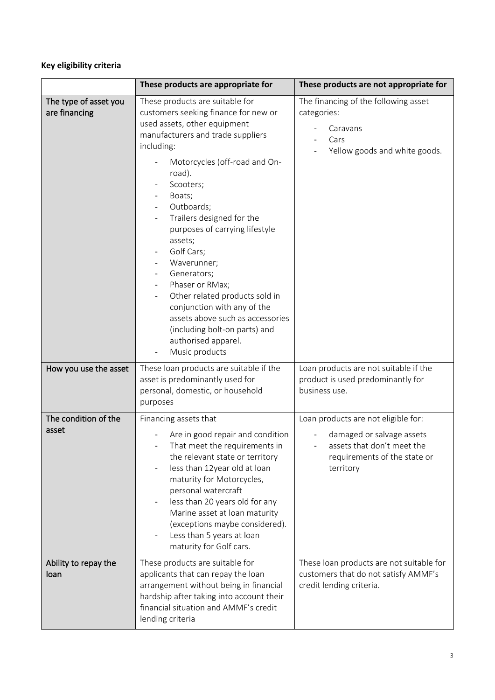### **Key eligibility criteria**

|                                        | These products are appropriate for                                                                                                                                                                                                                                                                                                                                                                                                                                                                                                                                 | These products are not appropriate for                                                                                                      |
|----------------------------------------|--------------------------------------------------------------------------------------------------------------------------------------------------------------------------------------------------------------------------------------------------------------------------------------------------------------------------------------------------------------------------------------------------------------------------------------------------------------------------------------------------------------------------------------------------------------------|---------------------------------------------------------------------------------------------------------------------------------------------|
| The type of asset you<br>are financing | These products are suitable for<br>customers seeking finance for new or<br>used assets, other equipment<br>manufacturers and trade suppliers<br>including:<br>Motorcycles (off-road and On-<br>road).<br>Scooters;<br>Boats;<br>Outboards;<br>Trailers designed for the<br>purposes of carrying lifestyle<br>assets;<br>Golf Cars;<br>Waverunner;<br>Generators;<br>Phaser or RMax;<br>Other related products sold in<br>conjunction with any of the<br>assets above such as accessories<br>(including bolt-on parts) and<br>authorised apparel.<br>Music products | The financing of the following asset<br>categories:<br>Caravans<br>Cars<br>Yellow goods and white goods.                                    |
| How you use the asset                  | These loan products are suitable if the<br>asset is predominantly used for<br>personal, domestic, or household<br>purposes                                                                                                                                                                                                                                                                                                                                                                                                                                         | Loan products are not suitable if the<br>product is used predominantly for<br>business use.                                                 |
| The condition of the<br>asset          | Financing assets that<br>Are in good repair and condition<br>That meet the requirements in<br>the relevant state or territory<br>less than 12year old at loan                                                                                                                                                                                                                                                                                                                                                                                                      | Loan products are not eligible for:<br>damaged or salvage assets<br>assets that don't meet the<br>requirements of the state or<br>territory |
|                                        | maturity for Motorcycles,<br>personal watercraft<br>less than 20 years old for any<br>Marine asset at loan maturity<br>(exceptions maybe considered).<br>Less than 5 years at loan<br>maturity for Golf cars.                                                                                                                                                                                                                                                                                                                                                      |                                                                                                                                             |
| Ability to repay the<br>loan           | These products are suitable for<br>applicants that can repay the loan<br>arrangement without being in financial<br>hardship after taking into account their<br>financial situation and AMMF's credit<br>lending criteria                                                                                                                                                                                                                                                                                                                                           | These loan products are not suitable for<br>customers that do not satisfy AMMF's<br>credit lending criteria.                                |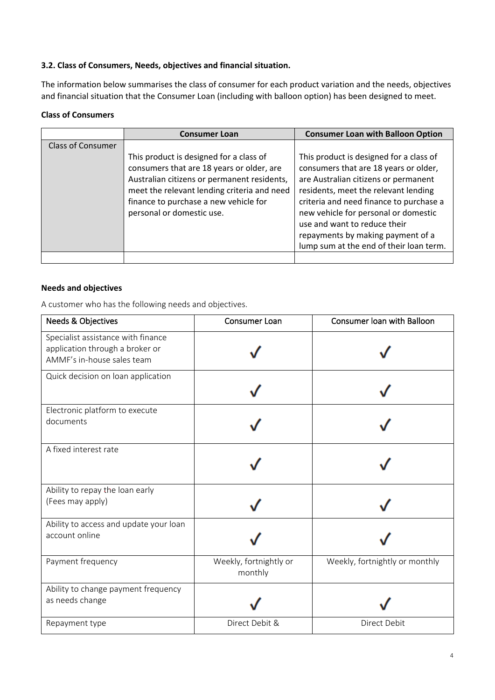#### **3.2. Class of Consumers, Needs, objectives and financial situation.**

The information below summarises the class of consumer for each product variation and the needs, objectives and financial situation that the Consumer Loan (including with balloon option) has been designed to meet.

#### **Class of Consumers**

|                          | <b>Consumer Loan</b>                                                                                                                                                                                                                                     | <b>Consumer Loan with Balloon Option</b>                                                                                                                                                                                                                                                                                                                            |
|--------------------------|----------------------------------------------------------------------------------------------------------------------------------------------------------------------------------------------------------------------------------------------------------|---------------------------------------------------------------------------------------------------------------------------------------------------------------------------------------------------------------------------------------------------------------------------------------------------------------------------------------------------------------------|
| <b>Class of Consumer</b> |                                                                                                                                                                                                                                                          |                                                                                                                                                                                                                                                                                                                                                                     |
|                          | This product is designed for a class of<br>consumers that are 18 years or older, are<br>Australian citizens or permanent residents,<br>meet the relevant lending criteria and need<br>finance to purchase a new vehicle for<br>personal or domestic use. | This product is designed for a class of<br>consumers that are 18 years or older,<br>are Australian citizens or permanent<br>residents, meet the relevant lending<br>criteria and need finance to purchase a<br>new vehicle for personal or domestic<br>use and want to reduce their<br>repayments by making payment of a<br>lump sum at the end of their loan term. |
|                          |                                                                                                                                                                                                                                                          |                                                                                                                                                                                                                                                                                                                                                                     |

#### **Needs and objectives**

A customer who has the following needs and objectives.

| <b>Needs &amp; Objectives</b>                                                                       | Consumer Loan                     | Consumer loan with Balloon     |
|-----------------------------------------------------------------------------------------------------|-----------------------------------|--------------------------------|
| Specialist assistance with finance<br>application through a broker or<br>AMMF's in-house sales team |                                   |                                |
| Quick decision on loan application                                                                  |                                   |                                |
| Electronic platform to execute<br>documents                                                         |                                   |                                |
| A fixed interest rate                                                                               |                                   |                                |
| Ability to repay the loan early<br>(Fees may apply)                                                 |                                   |                                |
| Ability to access and update your loan<br>account online                                            |                                   |                                |
| Payment frequency                                                                                   | Weekly, fortnightly or<br>monthly | Weekly, fortnightly or monthly |
| Ability to change payment frequency<br>as needs change                                              |                                   |                                |
| Repayment type                                                                                      | Direct Debit &                    | Direct Debit                   |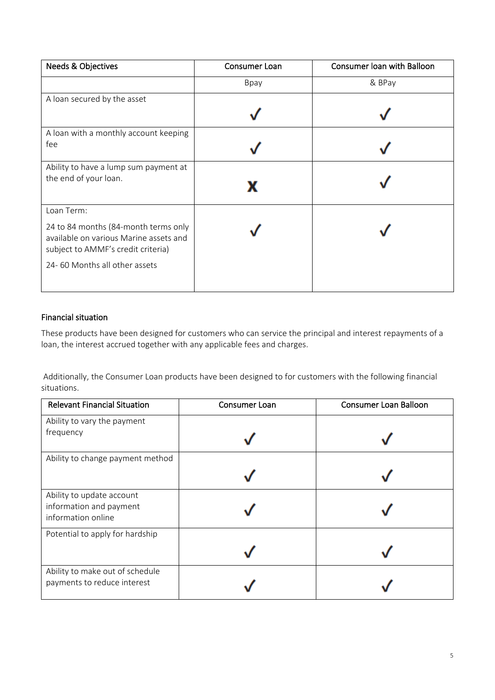| <b>Needs &amp; Objectives</b>                                                                                        | Consumer Loan | Consumer loan with Balloon |
|----------------------------------------------------------------------------------------------------------------------|---------------|----------------------------|
|                                                                                                                      | Bpay          | & BPay                     |
| A loan secured by the asset                                                                                          |               |                            |
|                                                                                                                      |               |                            |
| A loan with a monthly account keeping                                                                                |               |                            |
| fee                                                                                                                  |               |                            |
| Ability to have a lump sum payment at                                                                                |               |                            |
| the end of your loan.                                                                                                |               |                            |
| Loan Term:                                                                                                           |               |                            |
| 24 to 84 months (84-month terms only<br>available on various Marine assets and<br>subject to AMMF's credit criteria) |               |                            |
| 24-60 Months all other assets                                                                                        |               |                            |

#### Financial situation

These products have been designed for customers who can service the principal and interest repayments of a loan, the interest accrued together with any applicable fees and charges.

Additionally, the Consumer Loan products have been designed to for customers with the following financial situations.

| <b>Relevant Financial Situation</b>           | Consumer Loan | <b>Consumer Loan Balloon</b> |
|-----------------------------------------------|---------------|------------------------------|
| Ability to vary the payment                   |               |                              |
| frequency                                     |               |                              |
| Ability to change payment method              |               |                              |
|                                               |               |                              |
| Ability to update account                     |               |                              |
| information and payment<br>information online |               |                              |
| Potential to apply for hardship               |               |                              |
|                                               |               |                              |
| Ability to make out of schedule               |               |                              |
| payments to reduce interest                   |               |                              |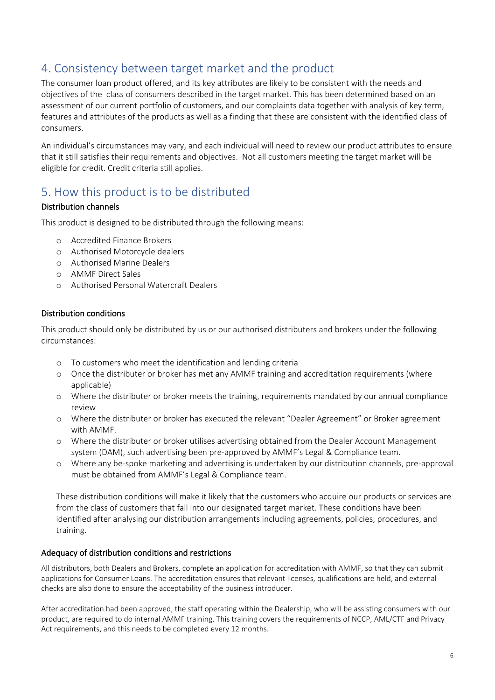### 4. Consistency between target market and the product

The consumer loan product offered, and its key attributes are likely to be consistent with the needs and objectives of the class of consumers described in the target market. This has been determined based on an assessment of our current portfolio of customers, and our complaints data together with analysis of key term, features and attributes of the products as well as a finding that these are consistent with the identified class of consumers.

An individual's circumstances may vary, and each individual will need to review our product attributes to ensure that it still satisfies their requirements and objectives. Not all customers meeting the target market will be eligible for credit. Credit criteria still applies.

### 5. How this product is to be distributed

#### Distribution channels

This product is designed to be distributed through the following means:

- o Accredited Finance Brokers
- o Authorised Motorcycle dealers
- o Authorised Marine Dealers
- o AMMF Direct Sales
- o Authorised Personal Watercraft Dealers

#### Distribution conditions

This product should only be distributed by us or our authorised distributers and brokers under the following circumstances:

- o To customers who meet the identification and lending criteria
- o Once the distributer or broker has met any AMMF training and accreditation requirements (where applicable)
- o Where the distributer or broker meets the training, requirements mandated by our annual compliance review
- o Where the distributer or broker has executed the relevant "Dealer Agreement" or Broker agreement with AMMF.
- o Where the distributer or broker utilises advertising obtained from the Dealer Account Management system (DAM), such advertising been pre-approved by AMMF's Legal & Compliance team.
- o Where any be-spoke marketing and advertising is undertaken by our distribution channels, pre-approval must be obtained from AMMF's Legal & Compliance team.

These distribution conditions will make it likely that the customers who acquire our products or services are from the class of customers that fall into our designated target market. These conditions have been identified after analysing our distribution arrangements including agreements, policies, procedures, and training.

#### Adequacy of distribution conditions and restrictions

All distributors, both Dealers and Brokers, complete an application for accreditation with AMMF, so that they can submit applications for Consumer Loans. The accreditation ensures that relevant licenses, qualifications are held, and external checks are also done to ensure the acceptability of the business introducer.

After accreditation had been approved, the staff operating within the Dealership, who will be assisting consumers with our product, are required to do internal AMMF training. This training covers the requirements of NCCP, AML/CTF and Privacy Act requirements, and this needs to be completed every 12 months.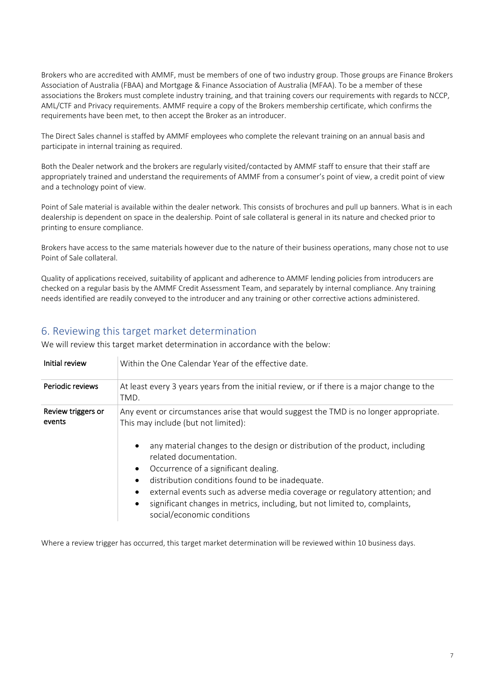Brokers who are accredited with AMMF, must be members of one of two industry group. Those groups are Finance Brokers Association of Australia (FBAA) and Mortgage & Finance Association of Australia (MFAA). To be a member of these associations the Brokers must complete industry training, and that training covers our requirements with regards to NCCP, AML/CTF and Privacy requirements. AMMF require a copy of the Brokers membership certificate, which confirms the requirements have been met, to then accept the Broker as an introducer.

The Direct Sales channel is staffed by AMMF employees who complete the relevant training on an annual basis and participate in internal training as required.

Both the Dealer network and the brokers are regularly visited/contacted by AMMF staff to ensure that their staff are appropriately trained and understand the requirements of AMMF from a consumer's point of view, a credit point of view and a technology point of view.

Point of Sale material is available within the dealer network. This consists of brochures and pull up banners. What is in each dealership is dependent on space in the dealership. Point of sale collateral is general in its nature and checked prior to printing to ensure compliance.

Brokers have access to the same materials however due to the nature of their business operations, many chose not to use Point of Sale collateral.

Quality of applications received, suitability of applicant and adherence to AMMF lending policies from introducers are checked on a regular basis by the AMMF Credit Assessment Team, and separately by internal compliance. Any training needs identified are readily conveyed to the introducer and any training or other corrective actions administered.

### 6. Reviewing this target market determination

We will review this target market determination in accordance with the below:

| Initial review               | Within the One Calendar Year of the effective date.                                                                                                                                                                                                                                                                                                                                                                                                                                                                                                                                           |
|------------------------------|-----------------------------------------------------------------------------------------------------------------------------------------------------------------------------------------------------------------------------------------------------------------------------------------------------------------------------------------------------------------------------------------------------------------------------------------------------------------------------------------------------------------------------------------------------------------------------------------------|
| Periodic reviews             | At least every 3 years years from the initial review, or if there is a major change to the<br>TMD.                                                                                                                                                                                                                                                                                                                                                                                                                                                                                            |
| Review triggers or<br>events | Any event or circumstances arise that would suggest the TMD is no longer appropriate.<br>This may include (but not limited):<br>any material changes to the design or distribution of the product, including<br>$\bullet$<br>related documentation.<br>Occurrence of a significant dealing.<br>$\bullet$<br>distribution conditions found to be inadequate.<br>$\bullet$<br>external events such as adverse media coverage or regulatory attention; and<br>$\bullet$<br>significant changes in metrics, including, but not limited to, complaints,<br>$\bullet$<br>social/economic conditions |

Where a review trigger has occurred, this target market determination will be reviewed within 10 business days.